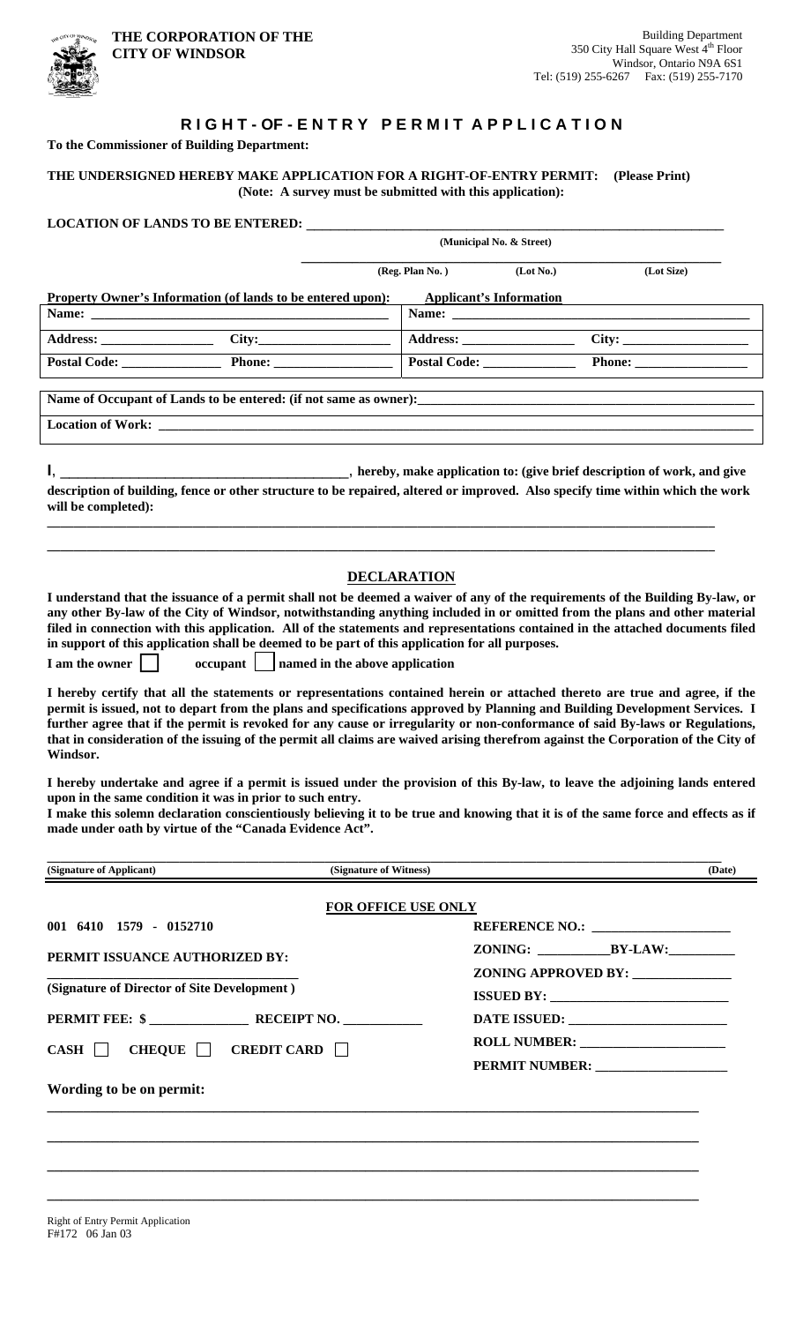

## **RIGHT-OF-ENTRY PERMIT APPLICATION**

**To the Commissioner of Building Department:** 

**THE UNDERSIGNED HEREBY MAKE APPLICATION FOR A RIGHT-OF-ENTRY PERMIT: (Please Print) (Note: A survey must be submitted with this application):** 

|                                                                                                                                                                                                                                                                                                                                                                                                                                                                                                                                                                                                                                                                                                                                                                                                                                                                                                                  |                                                                                    | (Municipal No. & Street)          |              |            |  |
|------------------------------------------------------------------------------------------------------------------------------------------------------------------------------------------------------------------------------------------------------------------------------------------------------------------------------------------------------------------------------------------------------------------------------------------------------------------------------------------------------------------------------------------------------------------------------------------------------------------------------------------------------------------------------------------------------------------------------------------------------------------------------------------------------------------------------------------------------------------------------------------------------------------|------------------------------------------------------------------------------------|-----------------------------------|--------------|------------|--|
|                                                                                                                                                                                                                                                                                                                                                                                                                                                                                                                                                                                                                                                                                                                                                                                                                                                                                                                  |                                                                                    | (Reg. Plan No.)                   | (Lot No.)    | (Lot Size) |  |
| Property Owner's Information (of lands to be entered upon):                                                                                                                                                                                                                                                                                                                                                                                                                                                                                                                                                                                                                                                                                                                                                                                                                                                      |                                                                                    | <b>Applicant's Information</b>    |              |            |  |
|                                                                                                                                                                                                                                                                                                                                                                                                                                                                                                                                                                                                                                                                                                                                                                                                                                                                                                                  |                                                                                    |                                   |              |            |  |
| Address: _____________________                                                                                                                                                                                                                                                                                                                                                                                                                                                                                                                                                                                                                                                                                                                                                                                                                                                                                   | $\overline{\text{City:}}$                                                          |                                   |              | City:      |  |
| Postal Code: Phone: Phone:                                                                                                                                                                                                                                                                                                                                                                                                                                                                                                                                                                                                                                                                                                                                                                                                                                                                                       |                                                                                    |                                   | Postal Code: | Phone:     |  |
|                                                                                                                                                                                                                                                                                                                                                                                                                                                                                                                                                                                                                                                                                                                                                                                                                                                                                                                  |                                                                                    |                                   |              |            |  |
|                                                                                                                                                                                                                                                                                                                                                                                                                                                                                                                                                                                                                                                                                                                                                                                                                                                                                                                  |                                                                                    |                                   |              |            |  |
|                                                                                                                                                                                                                                                                                                                                                                                                                                                                                                                                                                                                                                                                                                                                                                                                                                                                                                                  |                                                                                    |                                   |              |            |  |
| description of building, fence or other structure to be repaired, altered or improved. Also specify time within which the work<br>will be completed):                                                                                                                                                                                                                                                                                                                                                                                                                                                                                                                                                                                                                                                                                                                                                            |                                                                                    |                                   |              |            |  |
| I understand that the issuance of a permit shall not be deemed a waiver of any of the requirements of the Building By-law, or<br>any other By-law of the City of Windsor, notwithstanding anything included in or omitted from the plans and other material<br>filed in connection with this application. All of the statements and representations contained in the attached documents filed<br>in support of this application shall be deemed to be part of this application for all purposes.<br>I am the owner<br>I hereby certify that all the statements or representations contained herein or attached thereto are true and agree, if the<br>permit is issued, not to depart from the plans and specifications approved by Planning and Building Development Services. I<br>further agree that if the permit is revoked for any cause or irregularity or non-conformance of said By-laws or Regulations, | <b>DECLARATION</b><br>$\alpha$ occupant $\ \cdot\ $ named in the above application |                                   |              |            |  |
| that in consideration of the issuing of the permit all claims are waived arising therefrom against the Corporation of the City of<br>Windsor.<br>I hereby undertake and agree if a permit is issued under the provision of this By-law, to leave the adjoining lands entered<br>upon in the same condition it was in prior to such entry.<br>I make this solemn declaration conscientiously believing it to be true and knowing that it is of the same force and effects as if<br>made under oath by virtue of the "Canada Evidence Act".                                                                                                                                                                                                                                                                                                                                                                        |                                                                                    |                                   |              |            |  |
|                                                                                                                                                                                                                                                                                                                                                                                                                                                                                                                                                                                                                                                                                                                                                                                                                                                                                                                  |                                                                                    |                                   |              |            |  |
| (Signature of Applicant)<br>(Signature of Witness)<br>(Date)                                                                                                                                                                                                                                                                                                                                                                                                                                                                                                                                                                                                                                                                                                                                                                                                                                                     |                                                                                    |                                   |              |            |  |
|                                                                                                                                                                                                                                                                                                                                                                                                                                                                                                                                                                                                                                                                                                                                                                                                                                                                                                                  | FOR OFFICE USE ONLY                                                                |                                   |              |            |  |
| 001 6410 1579 - 0152710                                                                                                                                                                                                                                                                                                                                                                                                                                                                                                                                                                                                                                                                                                                                                                                                                                                                                          |                                                                                    |                                   |              |            |  |
| PERMIT ISSUANCE AUTHORIZED BY:<br>(Signature of Director of Site Development)                                                                                                                                                                                                                                                                                                                                                                                                                                                                                                                                                                                                                                                                                                                                                                                                                                    |                                                                                    |                                   |              |            |  |
|                                                                                                                                                                                                                                                                                                                                                                                                                                                                                                                                                                                                                                                                                                                                                                                                                                                                                                                  |                                                                                    | ZONING APPROVED BY: _____________ |              |            |  |
|                                                                                                                                                                                                                                                                                                                                                                                                                                                                                                                                                                                                                                                                                                                                                                                                                                                                                                                  |                                                                                    |                                   |              |            |  |
|                                                                                                                                                                                                                                                                                                                                                                                                                                                                                                                                                                                                                                                                                                                                                                                                                                                                                                                  |                                                                                    |                                   |              |            |  |
| CHEQUE $\Box$ CREDIT CARD $\Box$<br>CASH                                                                                                                                                                                                                                                                                                                                                                                                                                                                                                                                                                                                                                                                                                                                                                                                                                                                         |                                                                                    |                                   |              |            |  |
| Wording to be on permit:                                                                                                                                                                                                                                                                                                                                                                                                                                                                                                                                                                                                                                                                                                                                                                                                                                                                                         |                                                                                    |                                   |              |            |  |
|                                                                                                                                                                                                                                                                                                                                                                                                                                                                                                                                                                                                                                                                                                                                                                                                                                                                                                                  |                                                                                    |                                   |              |            |  |

**\_\_\_\_\_\_\_\_\_\_\_\_\_\_\_\_\_\_\_\_\_\_\_\_\_\_\_\_\_\_\_\_\_\_\_\_\_\_\_\_\_\_\_\_\_\_\_\_\_\_\_\_\_\_\_\_\_\_\_\_\_\_\_\_\_\_\_\_\_\_\_\_\_\_\_\_\_\_\_\_\_\_\_\_\_\_\_\_\_\_** 

**\_\_\_\_\_\_\_\_\_\_\_\_\_\_\_\_\_\_\_\_\_\_\_\_\_\_\_\_\_\_\_\_\_\_\_\_\_\_\_\_\_\_\_\_\_\_\_\_\_\_\_\_\_\_\_\_\_\_\_\_\_\_\_\_\_\_\_\_\_\_\_\_\_\_\_\_\_\_\_\_\_\_\_\_\_\_\_\_\_\_** 

**\_\_\_\_\_\_\_\_\_\_\_\_\_\_\_\_\_\_\_\_\_\_\_\_\_\_\_\_\_\_\_\_\_\_\_\_\_\_\_\_\_\_\_\_\_\_\_\_\_\_\_\_\_\_\_\_\_\_\_\_\_\_\_\_\_\_\_\_\_\_\_\_\_\_\_\_\_\_\_\_\_\_\_\_\_\_\_\_\_\_**